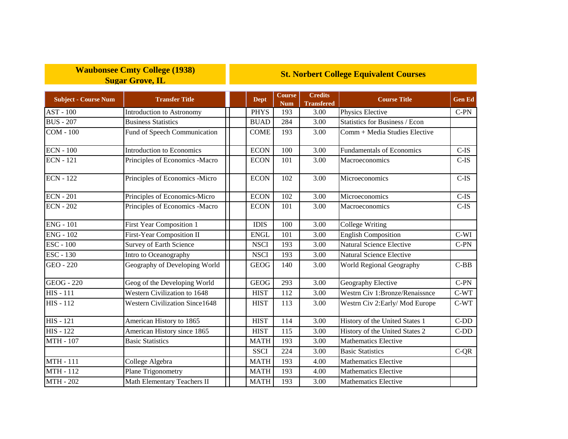## **Waubonsee Cmty College (1938) Sugar Grove, IL**

## **St. Norbert College Equivalent Courses**

| <b>Subject - Course Num</b>   | <b>Transfer Title</b>                 | <b>Dept</b> | Course<br><b>Num</b> | <b>Credits</b><br><b>Transfered</b> | <b>Course Title</b>              | <b>Gen Ed</b> |
|-------------------------------|---------------------------------------|-------------|----------------------|-------------------------------------|----------------------------------|---------------|
| AST - 100                     | Introduction to Astronomy             | <b>PHYS</b> | 193                  | 3.00                                | Physics Elective                 | $C-PN$        |
| <b>BUS</b> - 207              | <b>Business Statistics</b>            | <b>BUAD</b> | 284                  | 3.00                                | Statistics for Business / Econ   |               |
| <b>COM - 100</b>              | Fund of Speech Communication          | <b>COME</b> | 193                  | 3.00                                | Comm + Media Studies Elective    |               |
| <b>ECN - 100</b>              | <b>Introduction to Economics</b>      | <b>ECON</b> | 100                  | 3.00                                | <b>Fundamentals of Economics</b> | $C-IS$        |
| $ECN - 121$                   | Principles of Economics -Macro        | <b>ECON</b> | 101                  | 3.00                                | Macroeconomics                   | $C-IS$        |
| <b>ECN</b> - 122              | Principles of Economics -Micro        | <b>ECON</b> | 102                  | 3.00                                | Microeconomics                   | $C-IS$        |
| <b>ECN</b> - 201              | Principles of Economics-Micro         | <b>ECON</b> | 102                  | 3.00                                | Microeconomics                   | $C$ -IS       |
| <b>ECN - 202</b>              | Principles of Economics -Macro        | <b>ECON</b> | 101                  | 3.00                                | Macroeconomics                   | $C-IS$        |
| <b>ENG - 101</b>              | <b>First Year Composition 1</b>       | <b>IDIS</b> | 100                  | 3.00                                | College Writing                  |               |
| <b>ENG - 102</b>              | <b>First-Year Composition II</b>      | <b>ENGL</b> | 101                  | 3.00                                | <b>English Composition</b>       | $C-WI$        |
| $\overline{\text{ESC}} - 100$ | <b>Survey of Earth Science</b>        | <b>NSCI</b> | 193                  | 3.00                                | Natural Science Elective         | $C-PN$        |
| <b>ESC - 130</b>              | Intro to Oceanography                 | <b>NSCI</b> | 193                  | 3.00                                | Natural Science Elective         |               |
| GEO - 220                     | Geography of Developing World         | <b>GEOG</b> | 140                  | 3.00                                | World Regional Geography         | $C-BB$        |
| <b>GEOG</b> - 220             | Geog of the Developing World          | <b>GEOG</b> | 293                  | 3.00                                | Geography Elective               | $C-PN$        |
| <b>HIS - 111</b>              | Western Civilization to 1648          | <b>HIST</b> | 112                  | 3.00                                | Westrn Civ 1:Bronze/Renaissnce   | $C-WT$        |
| <b>HIS - 112</b>              | <b>Western Civilization Since1648</b> | <b>HIST</b> | 113                  | 3.00                                | Westrn Civ 2: Early/Mod Europe   | $C-WT$        |
| <b>HIS - 121</b>              | American History to 1865              | <b>HIST</b> | 114                  | 3.00                                | History of the United States 1   | $C-DD$        |
| $HIS - 122$                   | American History since 1865           | <b>HIST</b> | 115                  | 3.00                                | History of the United States 2   | $C-DD$        |
| <b>MTH - 107</b>              | <b>Basic Statistics</b>               | <b>MATH</b> | 193                  | 3.00                                | <b>Mathematics Elective</b>      |               |
|                               |                                       | <b>SSCI</b> | 224                  | 3.00                                | <b>Basic Statistics</b>          | $C-QR$        |
| <b>MTH - 111</b>              | College Algebra                       | <b>MATH</b> | 193                  | 4.00                                | <b>Mathematics Elective</b>      |               |
| <b>MTH-112</b>                | <b>Plane Trigonometry</b>             | <b>MATH</b> | 193                  | 4.00                                | <b>Mathematics Elective</b>      |               |
| <b>MTH - 202</b>              | Math Elementary Teachers II           | <b>MATH</b> | 193                  | 3.00                                | <b>Mathematics Elective</b>      |               |